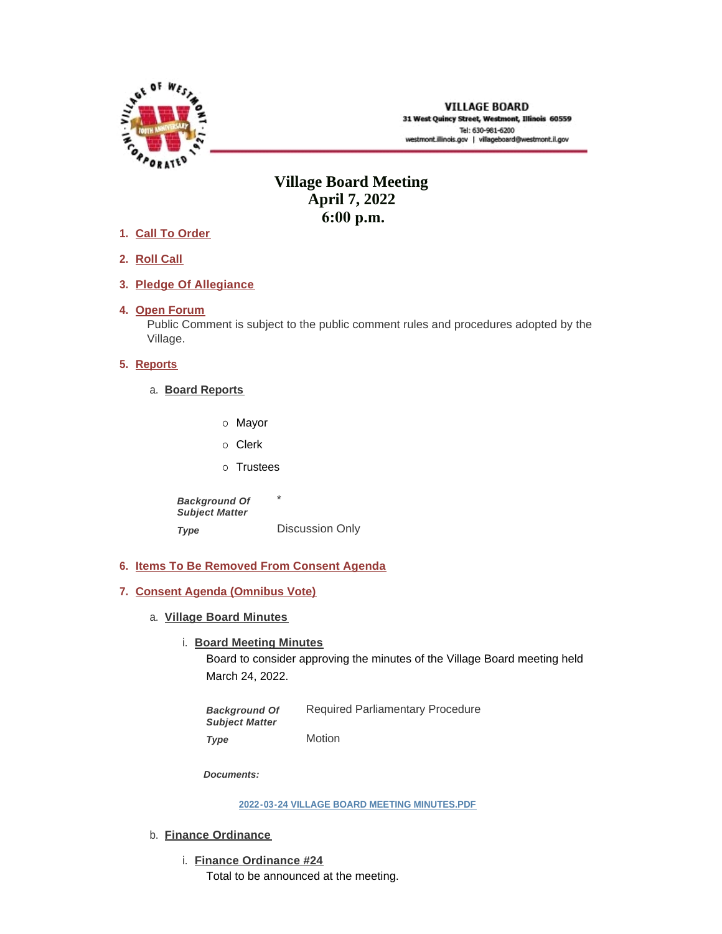

# **Village Board Meeting April 7, 2022 6:00 p.m.**

- **Call To Order 1.**
- **Roll Call 2.**
- **Pledge Of Allegiance 3.**
- 4. Open Forum

Public Comment is subject to the public comment rules and procedures adopted by the Village.

# **5.** Reports

- **Board Reports** a.
	- o Mayor
	- o Clerk
	- o Trustees

\* Discussion Only *Background Of Subject Matter Type* 

- **Items To Be Removed From Consent Agenda 6.**
- **Consent Agenda (Omnibus Vote) 7.**
	- **Village Board Minutes** a.
		- **Board Meeting Minutes**

Board to consider approving the minutes of the Village Board meeting held March 24, 2022.

Required Parliamentary Procedure *Background Of Subject Matter* 

Motion *Type* 

*Documents:*

**[2022-03-24 VILLAGE BOARD MEETING MINUTES.PDF](https://westmont.illinois.gov/AgendaCenter/ViewFile/Item/8573?fileID=12823)**

- b. **Finance Ordinance** 
	- **Finance Ordinance #24** i.

Total to be announced at the meeting.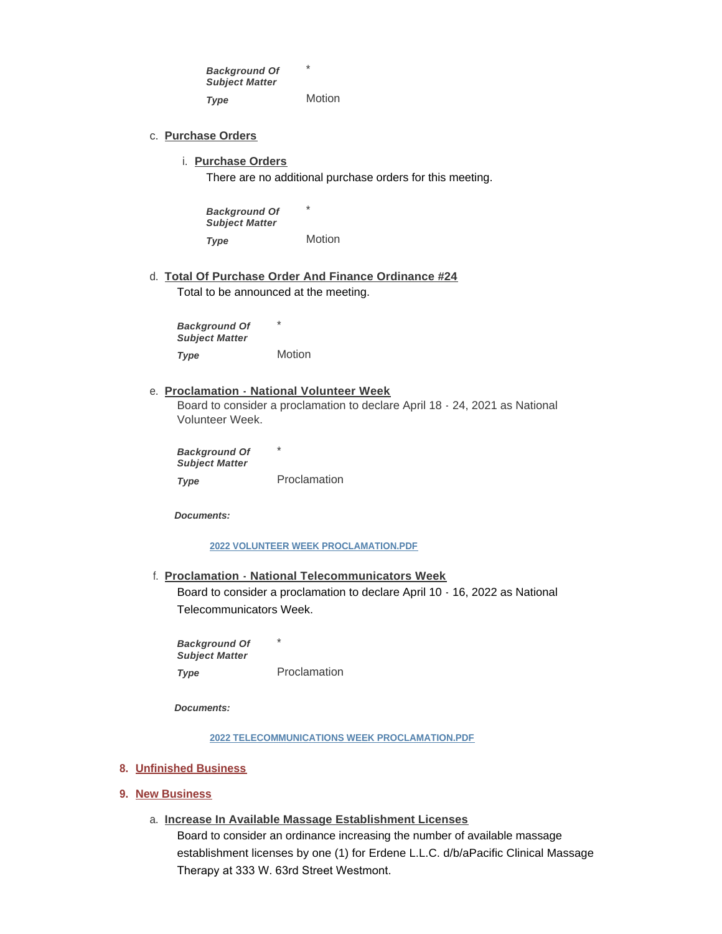\* Motion *Background Of Subject Matter Type* 

- **Purchase Orders** c.
	- **Purchase Orders** i.

There are no additional purchase orders for this meeting.

\* Motion *Background Of Subject Matter Type* 

**Total Of Purchase Order And Finance Ordinance #24** d. Total to be announced at the meeting.

\* **Motion** *Background Of Subject Matter Type* 

#### **Proclamation - National Volunteer Week** e.

Board to consider a proclamation to declare April 18 - 24, 2021 as National Volunteer Week.

\* Proclamation *Background Of Subject Matter Type* 

*Documents:*

#### **[2022 VOLUNTEER WEEK PROCLAMATION.PDF](https://westmont.illinois.gov/AgendaCenter/ViewFile/Item/8547?fileID=12732)**

**Proclamation - National Telecommunicators Week** f.

Board to consider a proclamation to declare April 10 - 16, 2022 as National Telecommunicators Week.

\* Proclamation *Background Of Subject Matter Type* 

*Documents:*

**[2022 TELECOMMUNICATIONS WEEK PROCLAMATION.PDF](https://westmont.illinois.gov/AgendaCenter/ViewFile/Item/8546?fileID=12731)**

- **Unfinished Business 8.**
- **New Business 9.**
	- **Increase In Available Massage Establishment Licenses** a.

Board to consider an ordinance increasing the number of available massage establishment licenses by one (1) for Erdene L.L.C. d/b/aPacific Clinical Massage Therapy at 333 W. 63rd Street Westmont.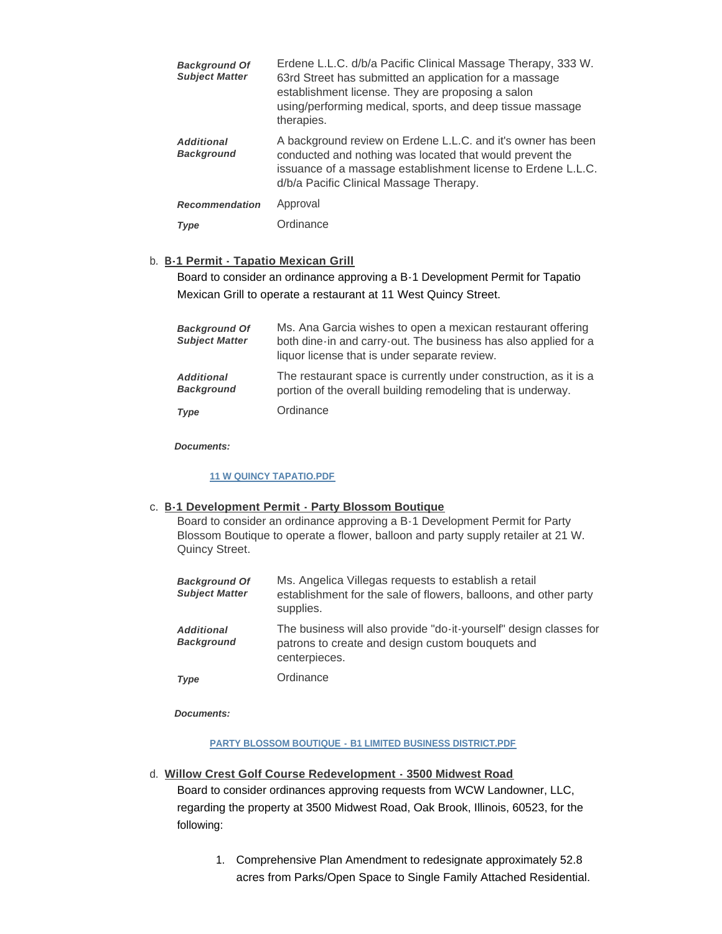| <b>Background Of</b><br><b>Subject Matter</b> | Erdene L.L.C. d/b/a Pacific Clinical Massage Therapy, 333 W.<br>63rd Street has submitted an application for a massage<br>establishment license. They are proposing a salon<br>using/performing medical, sports, and deep tissue massage<br>therapies. |
|-----------------------------------------------|--------------------------------------------------------------------------------------------------------------------------------------------------------------------------------------------------------------------------------------------------------|
| <b>Additional</b><br><b>Background</b>        | A background review on Erdene L.L.C. and it's owner has been<br>conducted and nothing was located that would prevent the<br>issuance of a massage establishment license to Erdene L.L.C.<br>d/b/a Pacific Clinical Massage Therapy.                    |
| <b>Recommendation</b>                         | Approval                                                                                                                                                                                                                                               |
| <b>Type</b>                                   | Ordinance                                                                                                                                                                                                                                              |

# **B-1 Permit - Tapatio Mexican Grill** b.

Board to consider an ordinance approving a B-1 Development Permit for Tapatio Mexican Grill to operate a restaurant at 11 West Quincy Street.

| <b>Background Of</b><br><b>Subject Matter</b> | Ms. Ana Garcia wishes to open a mexican restaurant offering<br>both dine-in and carry-out. The business has also applied for a<br>liquor license that is under separate review. |
|-----------------------------------------------|---------------------------------------------------------------------------------------------------------------------------------------------------------------------------------|
| <b>Additional</b><br><b>Background</b>        | The restaurant space is currently under construction, as it is a<br>portion of the overall building remodeling that is underway.                                                |
| <b>Type</b>                                   | Ordinance                                                                                                                                                                       |

*Documents:*

# **[11 W QUINCY TAPATIO.PDF](https://westmont.illinois.gov/AgendaCenter/ViewFile/Item/8553?fileID=12821)**

## **B-1 Development Permit - Party Blossom Boutique** c.

Board to consider an ordinance approving a B-1 Development Permit for Party Blossom Boutique to operate a flower, balloon and party supply retailer at 21 W. Quincy Street.

| <b>Background Of</b><br><b>Subject Matter</b> | Ms. Angelica Villegas requests to establish a retail<br>establishment for the sale of flowers, balloons, and other party<br>supplies.   |
|-----------------------------------------------|-----------------------------------------------------------------------------------------------------------------------------------------|
| <b>Additional</b><br><b>Background</b>        | The business will also provide "do-it-yourself" design classes for<br>patrons to create and design custom bouquets and<br>centerpieces. |
| Type                                          | Ordinance                                                                                                                               |

*Documents:*

**[PARTY BLOSSOM BOUTIQUE - B1 LIMITED BUSINESS DISTRICT.PDF](https://westmont.illinois.gov/AgendaCenter/ViewFile/Item/8552?fileID=12824)**

## **Willow Crest Golf Course Redevelopment - 3500 Midwest Road** d.

Board to consider ordinances approving requests from WCW Landowner, LLC, regarding the property at 3500 Midwest Road, Oak Brook, Illinois, 60523, for the following:

> 1. Comprehensive Plan Amendment to redesignate approximately 52.8 acres from Parks/Open Space to Single Family Attached Residential.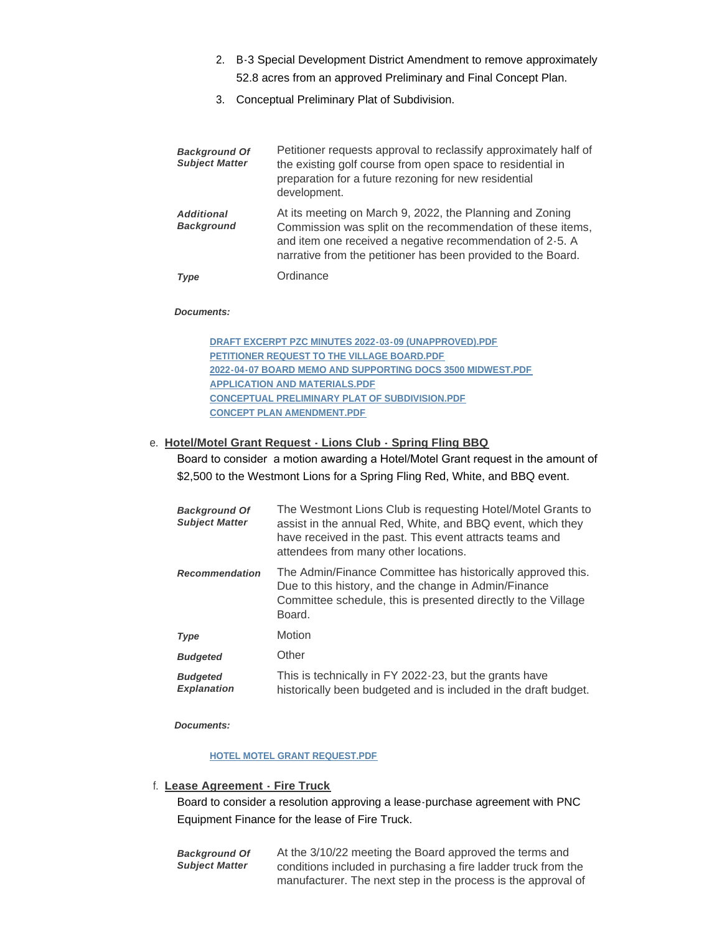- 2. B-3 Special Development District Amendment to remove approximately 52.8 acres from an approved Preliminary and Final Concept Plan.
- 3. Conceptual Preliminary Plat of Subdivision.

| <b>Background Of</b><br><b>Subject Matter</b> | Petitioner requests approval to reclassify approximately half of<br>the existing golf course from open space to residential in<br>preparation for a future rezoning for new residential<br>development.                                              |
|-----------------------------------------------|------------------------------------------------------------------------------------------------------------------------------------------------------------------------------------------------------------------------------------------------------|
| <b>Additional</b><br><b>Background</b>        | At its meeting on March 9, 2022, the Planning and Zoning<br>Commission was split on the recommendation of these items,<br>and item one received a negative recommendation of 2-5. A<br>narrative from the petitioner has been provided to the Board. |
| Type                                          | Ordinance                                                                                                                                                                                                                                            |

#### *Documents:*

**[DRAFT EXCERPT PZC MINUTES 2022-03-09 \(UNAPPROVED\).PDF](https://westmont.illinois.gov/AgendaCenter/ViewFile/Item/8550?fileID=12815) [PETITIONER REQUEST TO THE VILLAGE BOARD.PDF](https://westmont.illinois.gov/AgendaCenter/ViewFile/Item/8550?fileID=12816) [2022-04-07 BOARD MEMO AND SUPPORTING DOCS 3500 MIDWEST.PDF](https://westmont.illinois.gov/AgendaCenter/ViewFile/Item/8550?fileID=12817) [APPLICATION AND MATERIALS.PDF](https://westmont.illinois.gov/AgendaCenter/ViewFile/Item/8550?fileID=12818) [CONCEPTUAL PRELIMINARY PLAT OF SUBDIVISION.PDF](https://westmont.illinois.gov/AgendaCenter/ViewFile/Item/8550?fileID=12819) [CONCEPT PLAN AMENDMENT.PDF](https://westmont.illinois.gov/AgendaCenter/ViewFile/Item/8550?fileID=12820)**

## **Hotel/Motel Grant Request - Lions Club - Spring Fling BBQ** e.

Board to consider a motion awarding a Hotel/Motel Grant request in the amount of \$2,500 to the Westmont Lions for a Spring Fling Red, White, and BBQ event.

| <b>Background Of</b><br><b>Subject Matter</b> | The Westmont Lions Club is requesting Hotel/Motel Grants to<br>assist in the annual Red, White, and BBQ event, which they<br>have received in the past. This event attracts teams and<br>attendees from many other locations. |
|-----------------------------------------------|-------------------------------------------------------------------------------------------------------------------------------------------------------------------------------------------------------------------------------|
| <b>Recommendation</b>                         | The Admin/Finance Committee has historically approved this.<br>Due to this history, and the change in Admin/Finance<br>Committee schedule, this is presented directly to the Village<br>Board.                                |
| Type                                          | Motion                                                                                                                                                                                                                        |
| <b>Budgeted</b>                               | Other                                                                                                                                                                                                                         |
| <b>Budgeted</b><br><b>Explanation</b>         | This is technically in FY 2022-23, but the grants have<br>historically been budgeted and is included in the draft budget.                                                                                                     |

*Documents:*

#### **[HOTEL MOTEL GRANT REQUEST.PDF](https://westmont.illinois.gov/AgendaCenter/ViewFile/Item/8549?fileID=12734)**

## **Lease Agreement - Fire Truck** f.

Board to consider a resolution approving a lease-purchase agreement with PNC Equipment Finance for the lease of Fire Truck.

At the 3/10/22 meeting the Board approved the terms and conditions included in purchasing a fire ladder truck from the manufacturer. The next step in the process is the approval of *Background Of Subject Matter*